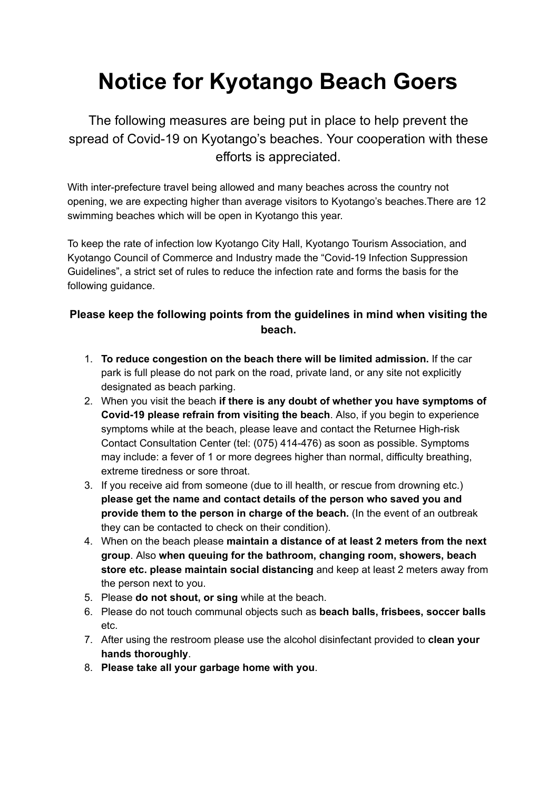## **Notice for Kyotango Beach Goers**

The following measures are being put in place to help prevent the spread of Covid-19 on Kyotango's beaches. Your cooperation with these efforts is appreciated.

With inter-prefecture travel being allowed and many beaches across the country not opening, we are expecting higher than average visitors to Kyotango's beaches.There are 12 swimming beaches which will be open in Kyotango this year.

To keep the rate of infection low Kyotango City Hall, Kyotango Tourism Association, and Kyotango Council of Commerce and Industry made the "Covid-19 Infection Suppression Guidelines", a strict set of rules to reduce the infection rate and forms the basis for the following guidance.

## **Please keep the following points from the guidelines in mind when visiting the beach.**

- 1. **To reduce congestion on the beach there will be limited admission.** If the car park is full please do not park on the road, private land, or any site not explicitly designated as beach parking.
- 2. When you visit the beach **if there is any doubt of whether you have symptoms of Covid-19 please refrain from visiting the beach**. Also, if you begin to experience symptoms while at the beach, please leave and contact the Returnee High-risk Contact Consultation Center (tel: (075) 414-476) as soon as possible. Symptoms may include: a fever of 1 or more degrees higher than normal, difficulty breathing, extreme tiredness or sore throat.
- 3. If you receive aid from someone (due to ill health, or rescue from drowning etc.) **please get the name and contact details of the person who saved you and provide them to the person in charge of the beach.** (In the event of an outbreak they can be contacted to check on their condition).
- 4. When on the beach please **maintain a distance of at least 2 meters from the next group**. Also **when queuing for the bathroom, changing room, showers, beach store etc. please maintain social distancing** and keep at least 2 meters away from the person next to you.
- 5. Please **do not shout, or sing** while at the beach.
- 6. Please do not touch communal objects such as **beach balls, frisbees, soccer balls** etc.
- 7. After using the restroom please use the alcohol disinfectant provided to **clean your hands thoroughly**.
- 8. **Please take all your garbage home with you**.